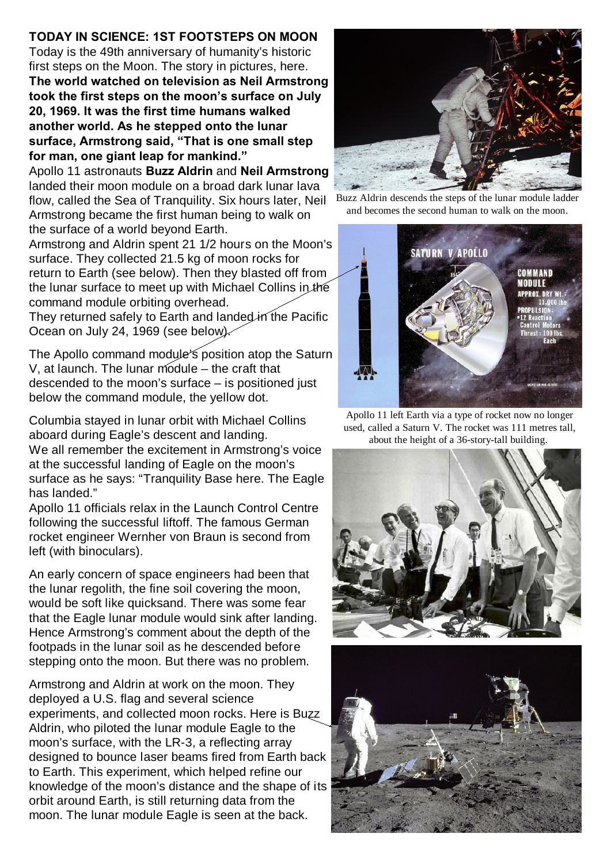## **TODAY IN SCIENCE: 1ST FOOTSTEPS ON MOON**

Today is the 49th anniversary of humanity's historic first steps on the Moon. The story in pictures, here. **The world watched on television as Neil Armstrong took the first steps on the moon's surface on July 20, 1969. It was the first time humans walked another world. As he stepped onto the lunar surface, Armstrong said, "That is one small step for man, one giant leap for mankind."**

Apollo 11 astronauts **Buzz Aldrin** and **Neil Armstrong** landed their moon module on a broad dark lunar lava flow, called the Sea of Tranquility. Six hours later, Neil Armstrong became the first human being to walk on the surface of a world beyond Earth.

Armstrong and Aldrin spent 21 1/2 hours on the Moon's surface. They collected 21.5 kg of moon rocks for return to Earth (see below). Then they blasted off from the lunar surface to meet up with Michael Collins in the command module orbiting overhead. They returned safely to Earth and landed in the Pacific Ocean on July 24, 1969 (see below).

The Apollo command module's position atop the Saturn V, at launch. The lunar module – the craft that descended to the moon's surface – is positioned just below the command module, the yellow dot.

Columbia stayed in lunar orbit with Michael Collins aboard during Eagle's descent and landing. We all remember the excitement in Armstrong's voice at the successful landing of Eagle on the moon's surface as he says: "Tranquility Base here. The Eagle has landed."

Apollo 11 officials relax in the Launch Control Centre following the successful liftoff. The famous German rocket engineer Wernher von Braun is second from left (with binoculars).

An early concern of space engineers had been that the lunar regolith, the fine soil covering the moon, would be soft like quicksand. There was some fear that the Eagle lunar module would sink after landing. Hence Armstrong's comment about the depth of the footpads in the lunar soil as he descended before stepping onto the moon. But there was no problem.

Armstrong and Aldrin at work on the moon. They deployed a U.S. flag and several science experiments, and collected moon rocks. Here is Buzz Aldrin, who piloted the lunar module Eagle to the moon's surface, with the LR-3, a reflecting array designed to bounce laser beams fired from Earth back to Earth. This experiment, which helped refine our knowledge of the moon's distance and the shape of its orbit around Earth, is still returning data from the moon. The lunar module Eagle is seen at the back.



Buzz Aldrin descends the steps of the lunar module ladder and becomes the second human to walk on the moon.



Apollo 11 left Earth via a type of rocket now no longer used, called a Saturn V. The rocket was 111 metres tall, about the height of a 36-story-tall building.